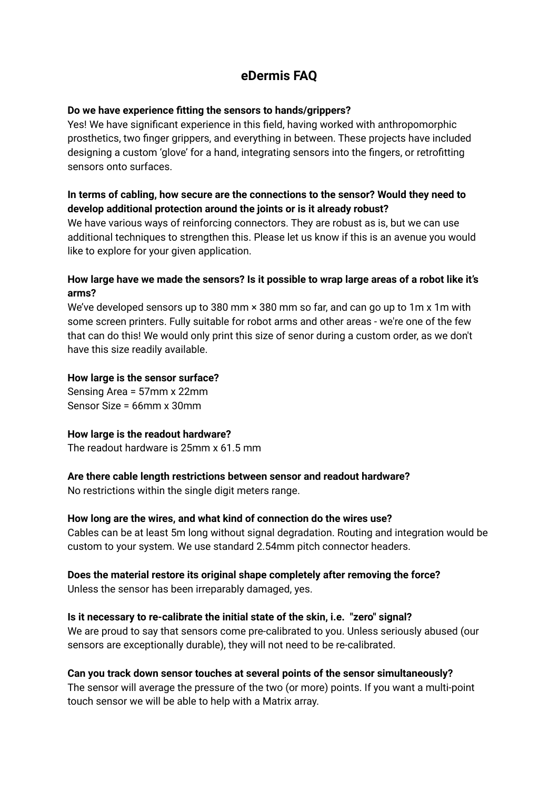# **eDermis FAQ**

# **Do we have experience fitting the sensors to hands/grippers?**

Yes! We have significant experience in this field, having worked with anthropomorphic prosthetics, two finger grippers, and everything in between. These projects have included designing a custom 'glove' for a hand, integrating sensors into the fingers, or retrofitting sensors onto surfaces.

# **In terms of cabling, how secure are the connections to the sensor? Would they need to develop additional protection around the joints or is it already robust?**

We have various ways of reinforcing connectors. They are robust as is, but we can use additional techniques to strengthen this. Please let us know if this is an avenue you would like to explore for your given application.

# **How large have we made the sensors? Is it possible to wrap large areas of a robot like it's arms?**

We've developed sensors up to 380 mm  $\times$  380 mm so far, and can go up to 1m x 1m with some screen printers. Fully suitable for robot arms and other areas - we're one of the few that can do this! We would only print this size of senor during a custom order, as we don't have this size readily available.

# **How large is the sensor surface?**

Sensing Area = 57mm x 22mm Sensor Size = 66mm x 30mm

# **How large is the readout hardware?**

The readout hardware is 25mm x 61.5 mm

# **Are there cable length restrictions between sensor and readout hardware?**

No restrictions within the single digit meters range.

# **How long are the wires, and what kind of connection do the wires use?**

Cables can be at least 5m long without signal degradation. Routing and integration would be custom to your system. We use standard 2.54mm pitch connector headers.

# **Does the material restore its original shape completely after removing the force?**

Unless the sensor has been irreparably damaged, yes.

# **Is it necessary to re-calibrate the initial state of the skin, i.e. "zero" signal?** We are proud to say that sensors come pre-calibrated to you. Unless seriously abused (our sensors are exceptionally durable), they will not need to be re-calibrated.

# **Can you track down sensor touches at several points of the sensor simultaneously?**

The sensor will average the pressure of the two (or more) points. If you want a multi-point touch sensor we will be able to help with a Matrix array.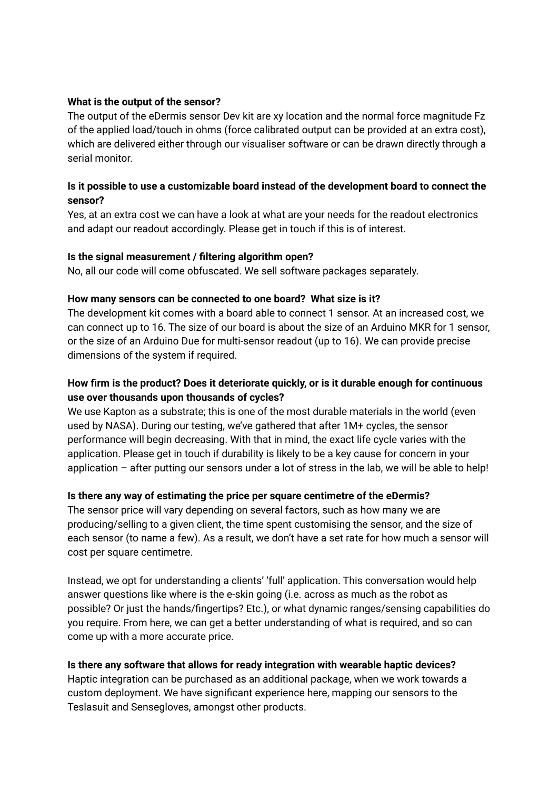#### **What is the output of the sensor?**

The output of the eDermis sensor Dev kit are xy location and the normal force magnitude Fz of the applied load/touch in ohms (force calibrated output can be provided at an extra cost), which are delivered either through our visualiser software or can be drawn directly through a serial monitor.

# **Is it possible to use a customizable board instead of the development board to connect the sensor?**

Yes, at an extra cost we can have a look at what are your needs for the readout electronics and adapt our readout accordingly. Please get in touch if this is of interest.

#### **Is the signal measurement / filtering algorithm open?**

No, all our code will come obfuscated. We sell software packages separately.

#### **How many sensors can be connected to one board? What size is it?**

The development kit comes with a board able to connect 1 sensor. At an increased cost, we can connect up to 16. The size of our board is about the size of an Arduino MKR for 1 sensor, or the size of an Arduino Due for multi-sensor readout (up to 16). We can provide precise dimensions of the system if required.

# **How firm is the product? Does it deteriorate quickly, or is it durable enough for continuous use over thousands upon thousands of cycles?**

We use Kapton as a substrate; this is one of the most durable materials in the world (even used by NASA). During our testing, we've gathered that after 1M+ cycles, the sensor performance will begin decreasing. With that in mind, the exact life cycle varies with the application. Please get in touch if durability is likely to be a key cause for concern in your application – after putting our sensors under a lot of stress in the lab, we will be able to help!

# **Is there any way of estimating the price per square centimetre of the eDermis?**

The sensor price will vary depending on several factors, such as how many we are producing/selling to a given client, the time spent customising the sensor, and the size of each sensor (to name a few). As a result, we don't have a set rate for how much a sensor will cost per square centimetre.

Instead, we opt for understanding a clients' 'full' application. This conversation would help answer questions like where is the e-skin going (i.e. across as much as the robot as possible? Or just the hands/fingertips? Etc.), or what dynamic ranges/sensing capabilities do you require. From here, we can get a better understanding of what is required, and so can come up with a more accurate price.

# **Is there any software that allows for ready integration with wearable haptic devices?**

Haptic integration can be purchased as an additional package, when we work towards a custom deployment. We have significant experience here, mapping our sensors to the Teslasuit and Sensegloves, amongst other products.